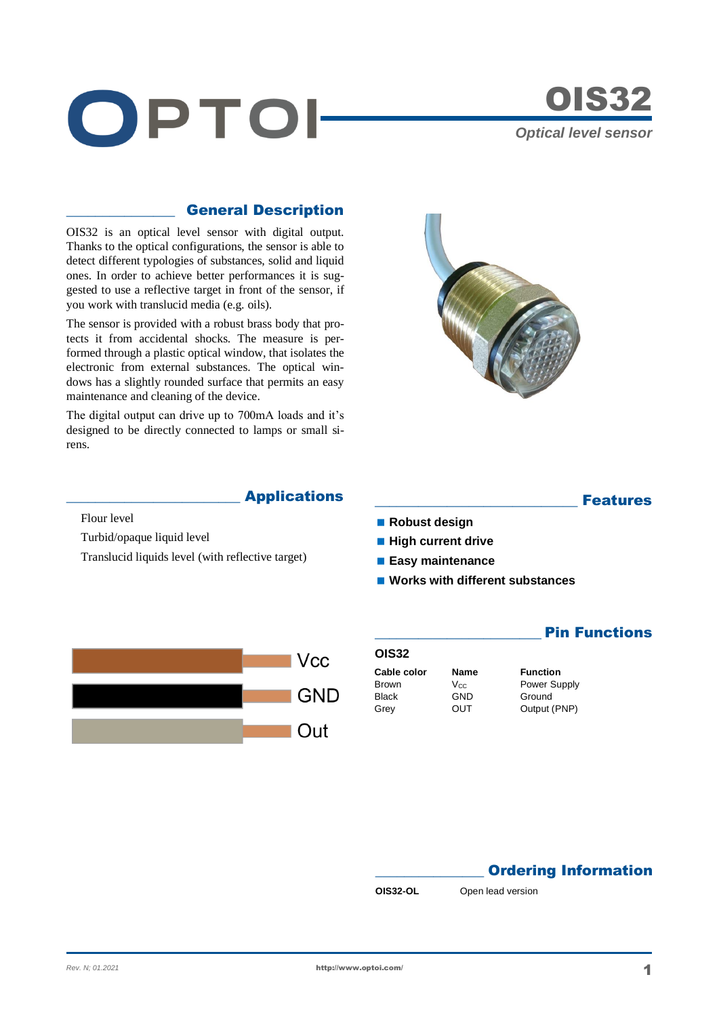



## \_\_\_\_\_\_\_\_\_\_\_\_\_\_\_ General Description

OIS32 is an optical level sensor with digital output. Thanks to the optical configurations, the sensor is able to detect different typologies of substances, solid and liquid ones. In order to achieve better performances it is suggested to use a reflective target in front of the sensor, if you work with translucid media (e.g. oils).

The sensor is provided with a robust brass body that protects it from accidental shocks. The measure is performed through a plastic optical window, that isolates the electronic from external substances. The optical windows has a slightly rounded surface that permits an easy maintenance and cleaning of the device.

The digital output can drive up to 700mA loads and it's designed to be directly connected to lamps or small sirens.



### **Applications**

Flour level

Turbid/opaque liquid level

Translucid liquids level (with reflective target)



**Features** 

**Pin Functions** 

- **Robust design**
- **High current drive**
- **Easy maintenance**
- Works with different substances

# **OIS32 Cable color Name Function** Brown V<sub>CC</sub> Power Supply<br>Black GND Ground Black GND Ground<br>Grev OUT Output (

Output (PNP)

# **Ordering Information**

**OIS32-OL** Open lead version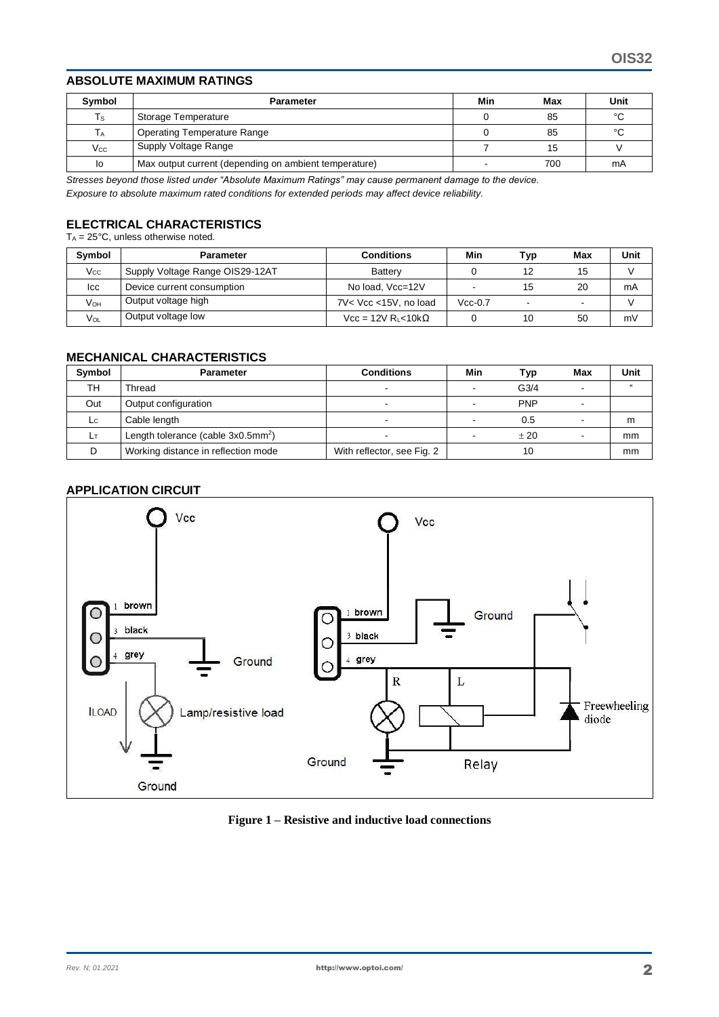### **ABSOLUTE MAXIMUM RATINGS**

| Symbol         | <b>Parameter</b>                                      | Min | Max | Unit |
|----------------|-------------------------------------------------------|-----|-----|------|
| Ts             | Storage Temperature                                   |     | 85  | °C   |
| Т <sub>А</sub> | <b>Operating Temperature Range</b>                    |     | 85  | °C   |
| $V_{\rm CC}$   | Supply Voltage Range                                  |     | 15  |      |
| lo             | Max output current (depending on ambient temperature) | -   | 700 | mA   |

*Stresses beyond those listed under "Absolute Maximum Ratings" may cause permanent damage to the device. Exposure to absolute maximum rated conditions for extended periods may affect device reliability.*

# **ELECTRICAL CHARACTERISTICS**

 $T_A = 25^{\circ}$ C, unless otherwise noted.

| Symbol          | Parameter                       | <b>Conditions</b>             | Min       | Тур | Max | Unit |
|-----------------|---------------------------------|-------------------------------|-----------|-----|-----|------|
| $V_{\rm CC}$    | Supply Voltage Range OIS29-12AT | <b>Battery</b>                |           |     | 15  |      |
| Icc             | Device current consumption      | No load, Vcc=12V              |           | 15  | 20  | mA   |
| V <sub>он</sub> | Output voltage high             | 7V< Vcc <15V, no load         | $Vcc-0.7$ |     |     |      |
| Vol             | Output voltage low              | $Vec = 12V R_{L} < 10k\Omega$ |           | 10  | 50  | mV   |

### **MECHANICAL CHARACTERISTICS**

| <b>Symbol</b> | <b>Parameter</b>                                  | <b>Conditions</b>          | Min | Tvp              | <b>Max</b> | Unit |
|---------------|---------------------------------------------------|----------------------------|-----|------------------|------------|------|
| TН            | Thread                                            |                            |     | G <sub>3/4</sub> |            |      |
| Out           | Output configuration                              |                            |     | <b>PNP</b>       |            |      |
| Lc.           | Cable length                                      |                            |     | 0.5              |            | m    |
| Lт            | Length tolerance (cable $3x0.5$ mm <sup>2</sup> ) |                            |     | $+20$            |            | mm   |
|               | Working distance in reflection mode               | With reflector, see Fig. 2 |     | 10               |            | mm   |

### **APPLICATION CIRCUIT**



#### **Figure 1 – Resistive and inductive load connections**